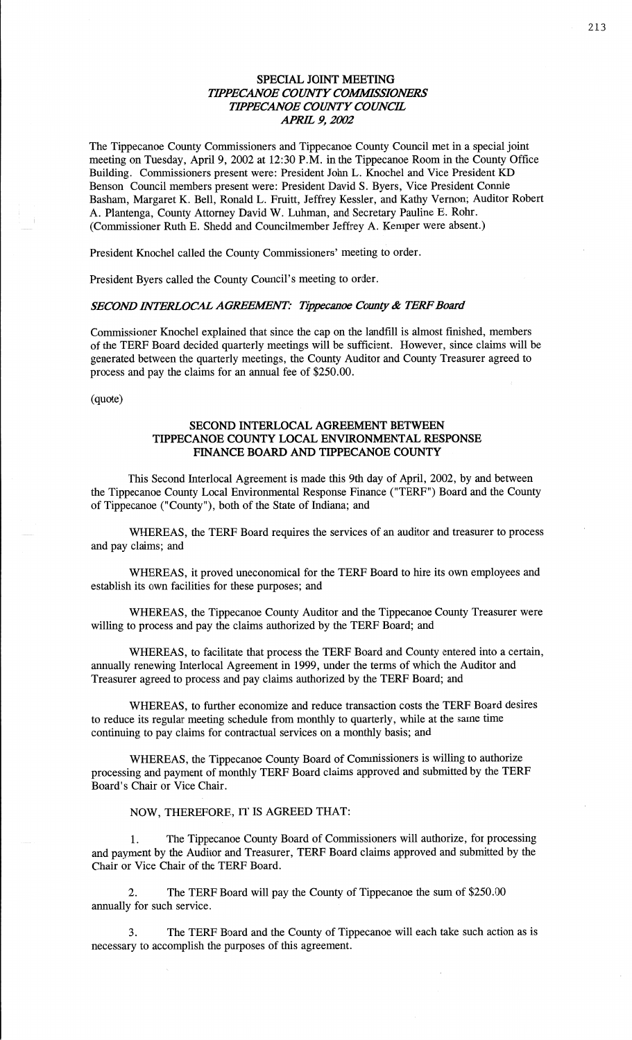## **SPECIAL** JOINT **MEETING TIPPECANOE COUNTY COMMISSIONERS** *TH'PECANOE COMVTY COWCE APRE* 9, *2002*

The Tippecanoe County Commissioners and Tippecanoe County Council met in a **special joint**  meeting on Tuesday, April 9, 2002 at 12:30 P.M. in the Tippecanoe Room in the County **Office**  Building. Commissioners present were: President John L. Knochel and Vice President KD Benson Council members present were: President David S. Byers, Vice President Connie **Basham,** Margaret K. Bell, Ronald L. Fruitt, Jeffrey Kessler, and Kathy Vernon; Auditor Robert A. Plantenga, County Attorney David W. **Luhman,** and Secretary Pauline E. Rohr. (Commissioner Ruth B. **Shedd** and Councilmember Jeffrey A. Kemper were absent.)

President Knochel called the County Commissioners' meeting to order.

President Byers called the County **Council's** meeting to order.

### *SECOND MERLOCAL AGREEAENT: Tippecanoe County &* TERF *Board*

Commissioner Knochel **explained** that since the cap on the **landfill** is almost finished, members of the TERF **Board** decided quarterly meetings will be **sufficient.** However, since **claims** will be generated between the quarterly meetings, the County Auditor and County Treasurer agreed to process and pay the **claims** for an annual fee of \$250.00.

(quote)

## **SECOND INTERLOCAL AGREEMENT BETWEEN TIPPECANOE COUNTY LOCAL ENVIRONMENTAL RESPONSE FINANCE BOARD** AND **TIPPECANOE COUNTY**

**This** Second Interlocal **Agreement** is made **this** 9th day of April, 2002, by and between the Tippecanoe County Local Environmental Response **Finance** ("TERF") Board and the County of **Tippecanoe** (" County"), both of the State of Indiana; and

WHEREAS, the TERF Board requires the services of an auditor and treasurer to process and pay **claims;** and

WHEREAS, it proved uneconomical for the TERF Board to hire its own employees and establish its own facilities for these purposes; and

WHEREAS, the Tippecanoe County Auditor and the Tippecanoe County Treasurer were willing to process and pay the claims authorized by the TERF Board; and

WHEREAS, to facilitate that process the TERF Board and County entered into **a** certain, annually renewing Interlocal Agreement in 1999, under the terms of which the Auditor and Treasurer agreed to process and pay claims authorized by the TERF Board; and

WHEREAS, to further economize and reduce transaction costs the TERF Board desires to reduce its regular meeting schedule from monthly to quarterly, while at the same **time**  continuing to pay **claims** for contractual services on **a** monthly basis; and

**WHEREAS,** the Tippecanoe County Board of Commissioners is willing to authorize processing and payment of monthly TERF Board claims approved and submitted by the TERF Board's **Chair** or Vice Chair.

## **NOW,** THEREFORE, IT IS AGREED **THAT:**

1. The Tippecanoe County Board of Commissioners will authorize, for processing and payment by the Auditor and Treasurer, TERF Board claims approved and submitted by the Chair or Vice Chair of the TERF Board.

2. The TERF Board will pay the County of Tippecanoe the sum of \$250.00 annually for such service.

3. The TERF Board and the County of Tippecanoe will each take **such** action as is necessary to accomplish the purposes of this agreement.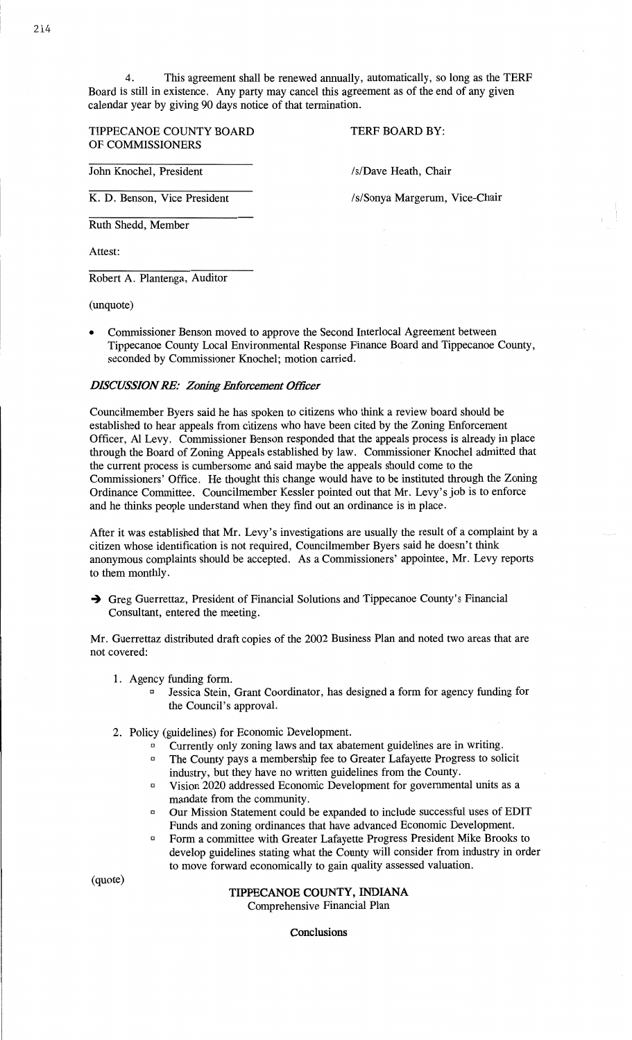**TIPPECANOE COUNTY BOARD** TERF BOARD BY: OF **COMMISSIONERS** 

John Knochel, President **/s/Dave Heath, Chair** 

K. D. Benson, Vice President /s/Sonya Margerum, Vice-Chair

**Ruth** Shedd, Member

**Attest:** 

Robert A. Plantenga, Auditor

**(unquote)** 

**0** Commissioner **Benson** moved to approve the **Second** Interlocal Agreement between Tippecanoe **County** Local Environmental Response Finance Board and Tippecanoe County, seconded by Commissioner **Knochel;** motion carried.

## *DISCUSSION* RE: *Zoning Enfomement Officer*

Councilmember Byers said he has **spoken** to citizens who think a review board **should** be **established** to hear appeals from citizens who have been cited by the Zoning Enforcement Officer, A1 Levy. Commissioner Benson responded that the appeals process is already in place through the Board of **Zoning** Appeals established by **law.** Commissioner Knochel admitted **that**  the current process is cumbersome and said **maybe** the appeals' **should** come to the **Commissioners' Office.** He thought **this** change would have to be instituted through the **Zoning Ordinance** Committee. Councilmember Kessler pointed out that Mr. **Levy's** job is to **enforce**  and he thinks people understand **when** they find out an ordinance is in place.

After it was established that Mr. Levy's investigations are usually the result of a complaint by **<sup>a</sup>** citizen **whose** identification is not required, Councilmember Byers **said** he **doesn't think**  anonymous complaints should be **accepted.** As a **Commissioners' appointee,** Mr. Levy **reports**  to **them** monthly.

-) Greg Guerrettaz, President of Financial Solutions and Tippecanoe County's Financial Consultant, entered the meeting.

Mr. Guerrettaz distributed draft **copies** of the 2002 **Business** Plan and **noted** two areas **that** are not covered:

- 1. Agency **funding** form.
	- **a** Jessica **Stein, Grant** Coordinator, has designed a form for agency **funding** for the **Council's** approval.
- 2. Policy (guidelines) for Economic **Development.** 
	- Currently only **zoning laws** and tax abatement guidelines are in writing.  $\Box$
	- **The County pays a membership fee to Greater Lafayette Progress to solicit** industry, but they **have** no written guidelines from the County.
	- Vision 2020 addressed Economic Development for governmental units as a mandate from the **community.**
	- 0 Our Mission Statement could be **expanded** to include successful uses of **EDIT Funds** and zoning ordinances that **have** advanced Economic Development.
	- Form a committee with Greater Lafayette Progress President Mike Brooks to **develop** guidelines stating What the County will consider **from** industry in order to **move** forward economically to gain quality **assessed** valuation.

**(quota)** 

## **TIPPECANOE COUNTY, INDIANA**

Comprehensive Financial Plan

**Conclusions**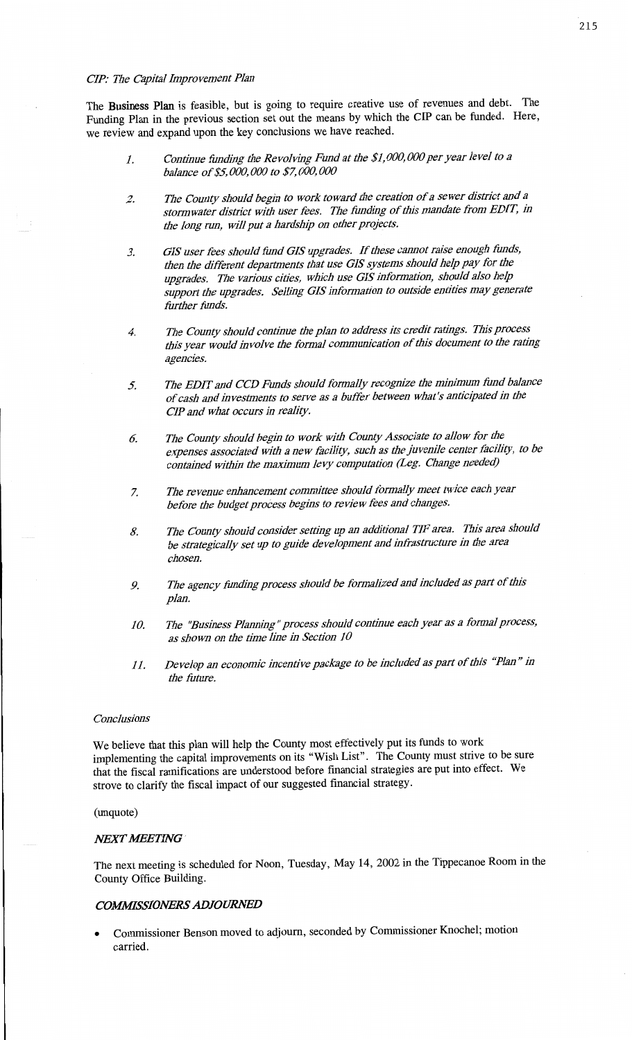#### *CIP:* **7716'** *Capital Enprovemcnt Plan*

*The* **Business Plan** *is* feasible, *but is* going *to* require creative *use of* revenues *and* debt. *The*  Funding **Plan** *in the* previous section *set out the* **means** *by* which *the CIP can be* funded. Here, *we* review *and* expand upon *the key* conclusions *we* **have** reached.

- *1. Continue fimding the Revolving Fund at the \$1, 000, 000 per year level to <sup>a</sup> balance of \$5, 000,000 to \$7,000,000*
- *2. 7716 County should begin to work toward the creation of a sewer district and <sup>a</sup> stomz water district with user fees. 771a fimding of this mandate from EDIT, 1'11 me long run, will put a hardship on other projects.*
- *3. GIS user fees should fimd GIS upgrades. If tbésc cannot raise enough funds, than the difi'erent departments that use GIS systems should 11p pay for the upgrades. The van'ous cities, which use GIS I'nfonnation, should also 11p support the upgrades. Selling 015 information to outside entities 1112 y generate fim'bcr fimds.*
- *4. 7711: County should continue the plan to address its credit ratings. This process wis year would involve we fozmal communication of this document to the rating agencies.*
- *5. 771a EDIT and CCD Funds Should formally recognize the minimum fimd balance ofcasb and invesancnts to serve as a bufiér between What's anticipated in the CIP and What occurs in reality.*
- $6.$  *The County should begin to work with County Associate to allow for the expenses associated With a new faciligl, such as tlzcjuvcnilc center ficilizjy, to be contained Within the maximum levy computation meg. Change needea)*
- *7. 7716 revenue enhancement comnu'ttee should fomalb/ meet twice each year before the budget process begins to review fees and changes.*
- *8. 7716 County should consider setting up an additional TIF area. 1711's area should be strategically set up to guide development and infiastmcturc in the area chosen.*
- *9. Me agency fimding process should be fonnalized and included as part of this plan.*
- *10. 7716 "Business Planning* " *process should continue each year as a formal process, as shown on the time line in Section 10*
- *11. Develop an economic incentive package to be included as pan of this "Plan " in the filture.*

### *Conclusions*

*We* believe that **this plan will** help *the* County **most** effectively *put its* **funds** *to* work implementing *the* capital improvements *on its* "Wish List". *The* County **must** strive *to be* sure **that** *the* **fiscal ramifications** *are* understood before **financial** strategies *are put* into **effect.** *We*  strove *to* clarify *the* fiscal impact *of our* suggested financial strategy.

#### **(unquote)**

### **NEXT MEETING**

*The* **next** meeting *is* scheduled *for* **Noon,** Tuesday, *May 14,* 2002 *in the* **Tippecanoe Room** *in the*  County Office Building.

## *COMWSSIONERS ADJOURNED*

**0** Commissioner Benson moved *to* **adjourn,** seconded *by* Commissioner **Knochel;** motion carried.